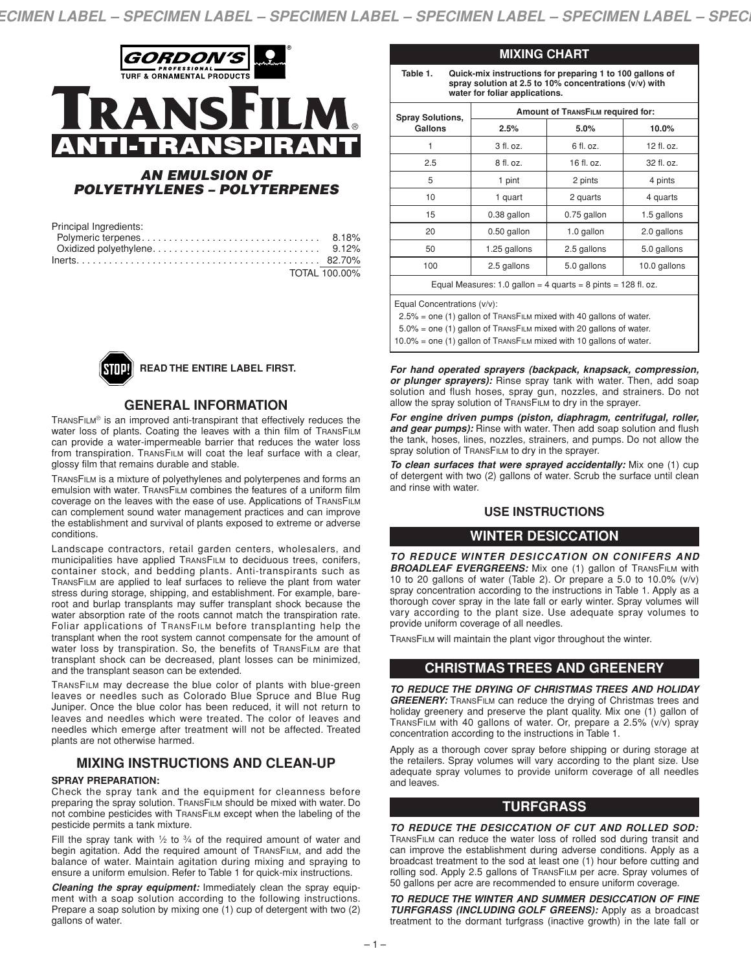

#### *AN EMULSION OF POLYETHYLENES – POLYTERPENES*

| Principal Ingredients: |                      |
|------------------------|----------------------|
|                        | 8.18%                |
|                        |                      |
|                        |                      |
|                        | <b>TOTAL 100.00%</b> |



#### **READ THE ENTIRE LABEL FIRST.**

#### **GENERAL INFORMATION**

TRANSFILM® is an improved anti-transpirant that effectively reduces the water loss of plants. Coating the leaves with a thin film of TRANSFILM can provide a water-impermeable barrier that reduces the water loss from transpiration. TRANSFILM will coat the leaf surface with a clear, glossy film that remains durable and stable.

TRANSFILM is a mixture of polyethylenes and polyterpenes and forms an emulsion with water. TRANSFILM combines the features of a uniform film coverage on the leaves with the ease of use. Applications of TRANSFILM can complement sound water management practices and can improve the establishment and survival of plants exposed to extreme or adverse conditions.

Landscape contractors, retail garden centers, wholesalers, and municipalities have applied TRANSFILM to deciduous trees, conifers, container stock, and bedding plants. Anti-transpirants such as TRANSFILM are applied to leaf surfaces to relieve the plant from water stress during storage, shipping, and establishment. For example, bareroot and burlap transplants may suffer transplant shock because the water absorption rate of the roots cannot match the transpiration rate. Foliar applications of TRANSFILM before transplanting help the transplant when the root system cannot compensate for the amount of water loss by transpiration. So, the benefits of TRANSFILM are that transplant shock can be decreased, plant losses can be minimized, and the transplant season can be extended.

TRANSFILM may decrease the blue color of plants with blue-green leaves or needles such as Colorado Blue Spruce and Blue Rug Juniper. Once the blue color has been reduced, it will not return to leaves and needles which were treated. The color of leaves and needles which emerge after treatment will not be affected. Treated plants are not otherwise harmed.

## **MIXING INSTRUCTIONS AND CLEAN-UP**

#### **SPRAY PREPARATION:**

Check the spray tank and the equipment for cleanness before preparing the spray solution. TRANSFILM should be mixed with water. Do not combine pesticides with TRANSFILM except when the labeling of the pesticide permits a tank mixture.

Fill the spray tank with  $1/2$  to  $3/4$  of the required amount of water and begin agitation. Add the required amount of TRANSFILM, and add the balance of water. Maintain agitation during mixing and spraying to ensure a uniform emulsion. Refer to Table 1 for quick-mix instructions.

*Cleaning the spray equipment:* Immediately clean the spray equipment with a soap solution according to the following instructions. Prepare a soap solution by mixing one (1) cup of detergent with two (2) gallons of water.

| Table 1.<br>Quick-mix instructions for preparing 1 to 100 gallons of<br>spray solution at 2.5 to 10% concentrations (v/v) with<br>water for foliar applications. |                                          |             |              |  |
|------------------------------------------------------------------------------------------------------------------------------------------------------------------|------------------------------------------|-------------|--------------|--|
| <b>Spray Solutions,</b>                                                                                                                                          | <b>Amount of TRANSFILM required for:</b> |             |              |  |
| Gallons                                                                                                                                                          | 2.5%                                     | 5.0%        | 10.0%        |  |
|                                                                                                                                                                  | 3 fl. oz.                                | $6$ fl. oz. | $12$ fl. oz. |  |
| 2.5                                                                                                                                                              | 8 fl. oz.                                | 16 fl. oz.  | 32 fl. oz.   |  |
| 5                                                                                                                                                                | 1 pint                                   | 2 pints     | 4 pints      |  |
| 10                                                                                                                                                               | 1 quart                                  | 2 quarts    | 4 quarts     |  |
| 15                                                                                                                                                               | 0.38 gallon                              | 0.75 gallon | 1.5 gallons  |  |
| 20                                                                                                                                                               | 0.50 gallon                              | 1.0 gallon  | 2.0 gallons  |  |
| 50                                                                                                                                                               | 1.25 gallons                             | 2.5 gallons | 5.0 gallons  |  |
| 100                                                                                                                                                              | 2.5 gallons                              | 5.0 gallons | 10.0 gallons |  |
| Equal Measures: 1.0 gallon = 4 quarts = 8 pints = 128 fl. oz.                                                                                                    |                                          |             |              |  |

**MIXING CHART**

Equal Concentrations (v/v):

2.5% = one (1) gallon of TRANSFILM mixed with 40 gallons of water.

5.0% = one (1) gallon of TRANSFILM mixed with 20 gallons of water.

10.0% = one (1) gallon of TRANSFILM mixed with 10 gallons of water.

*For hand operated sprayers (backpack, knapsack, compression, or plunger sprayers):* Rinse spray tank with water. Then, add soap solution and flush hoses, spray gun, nozzles, and strainers. Do not allow the spray solution of TRANSFILM to dry in the sprayer.

*For engine driven pumps (piston, diaphragm, centrifugal, roller, and gear pumps):* Rinse with water. Then add soap solution and flush the tank, hoses, lines, nozzles, strainers, and pumps. Do not allow the spray solution of TRANSFILM to dry in the sprayer.

*To clean surfaces that were sprayed accidentally:* Mix one (1) cup of detergent with two (2) gallons of water. Scrub the surface until clean and rinse with water.

## **USE INSTRUCTIONS**

# **WINTER DESICCATION**

*TO REDUCE WINTER DESICCATION ON CONIFERS AND* **BROADLEAF EVERGREENS:** Mix one (1) gallon of TRANSFILM with 10 to 20 gallons of water (Table 2). Or prepare a 5.0 to 10.0% (v/v) spray concentration according to the instructions in Table 1. Apply as a thorough cover spray in the late fall or early winter. Spray volumes will vary according to the plant size. Use adequate spray volumes to provide uniform coverage of all needles.

TRANSFILM will maintain the plant vigor throughout the winter.

## **CHRISTMAS TREES AND GREENERY**

*TO REDUCE THE DRYING OF CHRISTMAS TREES AND HOLIDAY GREENERY:* TRANSFILM can reduce the drying of Christmas trees and holiday greenery and preserve the plant quality. Mix one (1) gallon of TRANSFILM with 40 gallons of water. Or, prepare a 2.5% (v/v) spray concentration according to the instructions in Table 1.

Apply as a thorough cover spray before shipping or during storage at the retailers. Spray volumes will vary according to the plant size. Use adequate spray volumes to provide uniform coverage of all needles and leaves.

## **TURFGRASS**

*TO REDUCE THE DESICCATION OF CUT AND ROLLED SOD:* TRANSFILM can reduce the water loss of rolled sod during transit and can improve the establishment during adverse conditions. Apply as a broadcast treatment to the sod at least one (1) hour before cutting and rolling sod. Apply 2.5 gallons of TRANSFILM per acre. Spray volumes of 50 gallons per acre are recommended to ensure uniform coverage.

*TO REDUCE THE WINTER AND SUMMER DESICCATION OF FINE TURFGRASS (INCLUDING GOLF GREENS):* Apply as a broadcast treatment to the dormant turfgrass (inactive growth) in the late fall or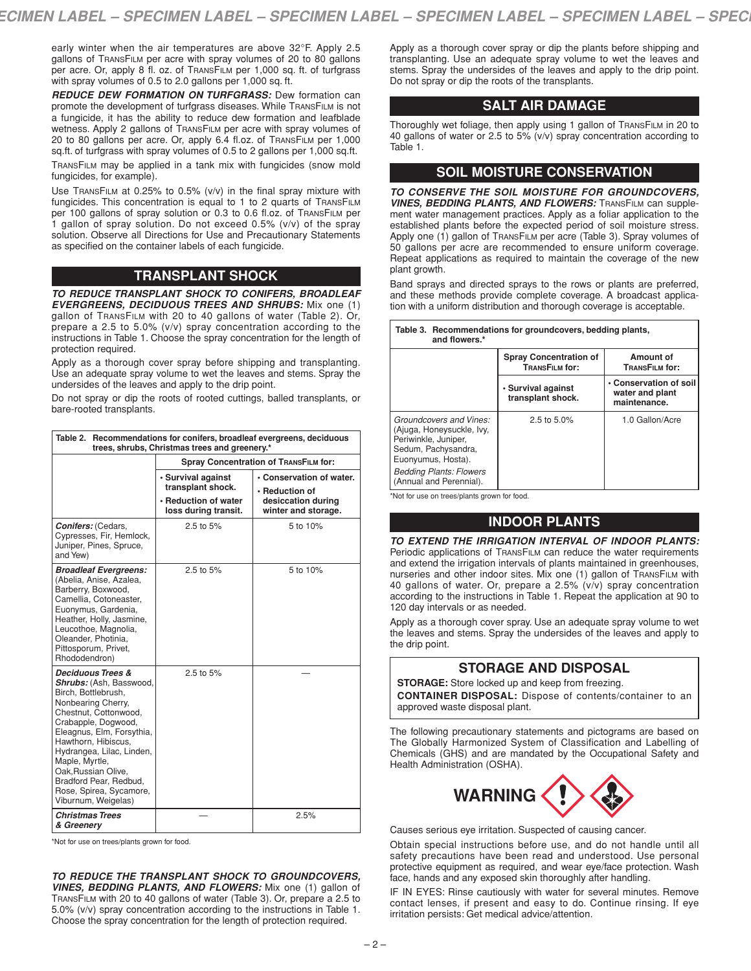early winter when the air temperatures are above 32°F. Apply 2.5 gallons of TRANSFILM per acre with spray volumes of 20 to 80 gallons per acre. Or, apply 8 fl. oz. of TRANSFILM per 1,000 sq. ft. of turfgrass with spray volumes of 0.5 to 2.0 gallons per 1,000 sq. ft.

*REDUCE DEW FORMATION ON TURFGRASS:* Dew formation can promote the development of turfgrass diseases. While TRANSFILM is not a fungicide, it has the ability to reduce dew formation and leafblade wetness. Apply 2 gallons of TRANSFILM per acre with spray volumes of 20 to 80 gallons per acre. Or, apply 6.4 fl.oz. of TRANSFILM per 1,000 sq.ft. of turfgrass with spray volumes of 0.5 to 2 gallons per 1,000 sq.ft.

TRANSFILM may be applied in a tank mix with fungicides (snow mold fungicides, for example).

Use TRANSFILM at 0.25% to 0.5% (v/v) in the final spray mixture with fungicides. This concentration is equal to 1 to 2 quarts of TRANSFILM per 100 gallons of spray solution or 0.3 to 0.6 fl.oz. of TRANSFILM per 1 gallon of spray solution. Do not exceed 0.5% (v/v) of the spray solution. Observe all Directions for Use and Precautionary Statements as specified on the container labels of each fungicide.

# **TRANSPLANT SHOCK**

*TO REDUCE TRANSPLANT SHOCK TO CONIFERS, BROADLEAF EVERGREENS, DECIDUOUS TREES AND SHRUBS:* Mix one (1) gallon of TRANSFILM with 20 to 40 gallons of water (Table 2). Or, prepare a 2.5 to 5.0% (v/v) spray concentration according to the instructions in Table 1. Choose the spray concentration for the length of protection required.

Apply as a thorough cover spray before shipping and transplanting. Use an adequate spray volume to wet the leaves and stems. Spray the undersides of the leaves and apply to the drip point.

Do not spray or dip the roots of rooted cuttings, balled transplants, or bare-rooted transplants.

| Table 2. Recommendations for conifers, broadleaf evergreens, deciduous<br>trees, shrubs, Christmas trees and greenery.*                                                                                                                                                                                                                                    |                                                                                         |                                                                                         |  |  |  |
|------------------------------------------------------------------------------------------------------------------------------------------------------------------------------------------------------------------------------------------------------------------------------------------------------------------------------------------------------------|-----------------------------------------------------------------------------------------|-----------------------------------------------------------------------------------------|--|--|--|
|                                                                                                                                                                                                                                                                                                                                                            | Spray Concentration of TRANSFILM for:                                                   |                                                                                         |  |  |  |
|                                                                                                                                                                                                                                                                                                                                                            | · Survival against<br>transplant shock.<br>• Reduction of water<br>loss during transit. | • Conservation of water.<br>• Reduction of<br>desiccation during<br>winter and storage. |  |  |  |
| <b>Conifers: (Cedars,</b><br>Cypresses, Fir, Hemlock,<br>Juniper, Pines, Spruce,<br>and Yew)                                                                                                                                                                                                                                                               | 2.5 to 5%                                                                               | 5 to 10%                                                                                |  |  |  |
| <b>Broadleaf Evergreens:</b><br>(Abelia, Anise, Azalea,<br>Barberry, Boxwood,<br>Camellia, Cotoneaster,<br>Euonymus, Gardenia,<br>Heather, Holly, Jasmine,<br>Leucothoe, Magnolia,<br>Oleander, Photinia,<br>Pittosporum, Privet,<br>Rhododendron)                                                                                                         | 2.5 to 5%                                                                               | 5 to 10%                                                                                |  |  |  |
| <b>Deciduous Trees &amp;</b><br>Shrubs: (Ash, Basswood,<br>Birch, Bottlebrush,<br>Nonbearing Cherry,<br>Chestnut, Cottonwood,<br>Crabapple, Dogwood,<br>Eleagnus, Elm, Forsythia,<br>Hawthorn, Hibiscus,<br>Hydrangea, Lilac, Linden,<br>Maple, Myrtle,<br>Oak, Russian Olive,<br>Bradford Pear, Redbud,<br>Rose, Spirea, Sycamore,<br>Viburnum, Weigelas) | $2.5$ to $5%$                                                                           |                                                                                         |  |  |  |
| <b>Christmas Trees</b><br>& Greenery                                                                                                                                                                                                                                                                                                                       |                                                                                         | 2.5%                                                                                    |  |  |  |

\*Not for use on trees/plants grown for food.

*TO REDUCE THE TRANSPLANT SHOCK TO GROUNDCOVERS, VINES, BEDDING PLANTS, AND FLOWERS:* Mix one (1) gallon of TRANSFILM with 20 to 40 gallons of water (Table 3). Or, prepare a 2.5 to 5.0% (v/v) spray concentration according to the instructions in Table 1. Choose the spray concentration for the length of protection required.

Apply as a thorough cover spray or dip the plants before shipping and transplanting. Use an adequate spray volume to wet the leaves and stems. Spray the undersides of the leaves and apply to the drip point. Do not spray or dip the roots of the transplants.

## **SALT AIR DAMAGE**

Thoroughly wet foliage, then apply using 1 gallon of TRANSFILM in 20 to 40 gallons of water or 2.5 to 5% (v/v) spray concentration according to Table 1.

#### **SOIL MOISTURE CONSERVATION**

*TO CONSERVE THE SOIL MOISTURE FOR GROUNDCOVERS, VINES, BEDDING PLANTS, AND FLOWERS:* TRANSFILM can supplement water management practices. Apply as a foliar application to the established plants before the expected period of soil moisture stress. Apply one (1) gallon of TRANSFILM per acre (Table 3). Spray volumes of 50 gallons per acre are recommended to ensure uniform coverage. Repeat applications as required to maintain the coverage of the new plant growth.

Band sprays and directed sprays to the rows or plants are preferred, and these methods provide complete coverage. A broadcast application with a uniform distribution and thorough coverage is acceptable.

| Table 3. Recommendations for groundcovers, bedding plants,<br>and flowers.*                                                                                                            |                                                        |                                                           |  |  |  |
|----------------------------------------------------------------------------------------------------------------------------------------------------------------------------------------|--------------------------------------------------------|-----------------------------------------------------------|--|--|--|
|                                                                                                                                                                                        | <b>Spray Concentration of</b><br><b>TRANSFILM for:</b> | Amount of<br>TRANSFILM for:                               |  |  |  |
|                                                                                                                                                                                        | · Survival against<br>transplant shock.                | • Conservation of soil<br>water and plant<br>maintenance. |  |  |  |
| Groundcovers and Vines:<br>(Ajuga, Honeysuckle, Ivy,<br>Periwinkle, Juniper,<br>Sedum, Pachysandra,<br>Euonyumus, Hosta).<br><b>Bedding Plants: Flowers</b><br>(Annual and Perennial). | 2.5 to $5.0\%$                                         | 1.0 Gallon/Acre                                           |  |  |  |

\*Not for use on trees/plants grown for food.

# **INDOOR PLANTS**

*TO EXTEND THE IRRIGATION INTERVAL OF INDOOR PLANTS:* Periodic applications of TRANSFILM can reduce the water requirements and extend the irrigation intervals of plants maintained in greenhouses, nurseries and other indoor sites. Mix one (1) gallon of TRANSFILM with 40 gallons of water. Or, prepare a 2.5% (v/v) spray concentration according to the instructions in Table 1. Repeat the application at 90 to 120 day intervals or as needed.

Apply as a thorough cover spray. Use an adequate spray volume to wet the leaves and stems. Spray the undersides of the leaves and apply to the drip point.

# **STORAGE AND DISPOSAL**

**STORAGE:** Store locked up and keep from freezing.

**CONTAINER DISPOSAL:** Dispose of contents/container to an approved waste disposal plant.

The following precautionary statements and pictograms are based on The Globally Harmonized System of Classification and Labelling of Chemicals (GHS) and are mandated by the Occupational Safety and Health Administration (OSHA).



Causes serious eye irritation. Suspected of causing cancer.

Obtain special instructions before use, and do not handle until all safety precautions have been read and understood. Use personal protective equipment as required, and wear eye/face protection. Wash face, hands and any exposed skin thoroughly after handling.

IF IN EYES: Rinse cautiously with water for several minutes. Remove contact lenses, if present and easy to do. Continue rinsing. If eye irritation persists: Get medical advice/attention.